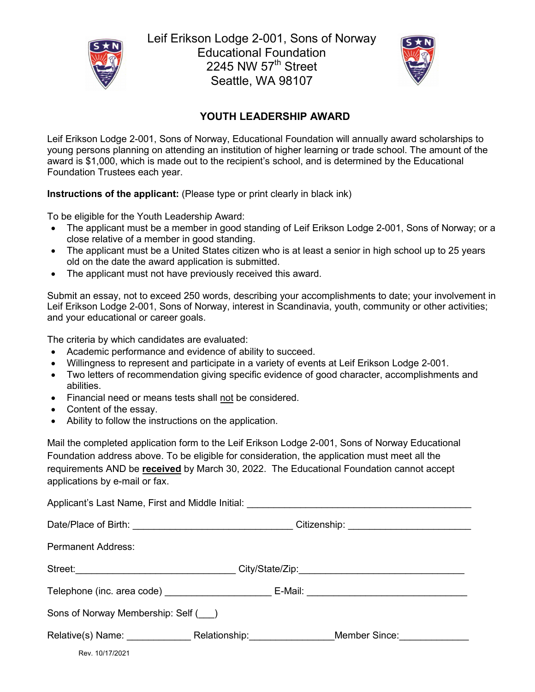

Leif Erikson Lodge 2-001, Sons of Norway Educational Foundation 2245 NW  $57<sup>th</sup>$  Street Seattle, WA 98107



## **YOUTH LEADERSHIP AWARD**

Leif Erikson Lodge 2-001, Sons of Norway, Educational Foundation will annually award scholarships to young persons planning on attending an institution of higher learning or trade school. The amount of the award is \$1,000, which is made out to the recipient's school, and is determined by the Educational Foundation Trustees each year.

**Instructions of the applicant:** (Please type or print clearly in black ink)

To be eligible for the Youth Leadership Award:

- The applicant must be a member in good standing of Leif Erikson Lodge 2-001, Sons of Norway; or a close relative of a member in good standing.
- The applicant must be a United States citizen who is at least a senior in high school up to 25 years old on the date the award application is submitted.
- The applicant must not have previously received this award.

Submit an essay, not to exceed 250 words, describing your accomplishments to date; your involvement in Leif Erikson Lodge 2-001, Sons of Norway, interest in Scandinavia, youth, community or other activities; and your educational or career goals.

The criteria by which candidates are evaluated:

- Academic performance and evidence of ability to succeed.
- Willingness to represent and participate in a variety of events at Leif Erikson Lodge 2-001.
- Two letters of recommendation giving specific evidence of good character, accomplishments and abilities.
- Financial need or means tests shall not be considered.
- Content of the essay.
- Ability to follow the instructions on the application.

Mail the completed application form to the Leif Erikson Lodge 2-001, Sons of Norway Educational Foundation address above. To be eligible for consideration, the application must meet all the requirements AND be **received** by March 30, 2022. The Educational Foundation cannot accept applications by e-mail or fax.

Rev. 10/17/2021 Applicant's Last Name, First and Middle Initial: Date/Place of Birth: \_\_\_\_\_\_\_\_\_\_\_\_\_\_\_\_\_\_\_\_\_\_\_\_\_\_\_\_\_\_ Citizenship: \_\_\_\_\_\_\_\_\_\_\_\_\_\_\_\_\_\_\_\_\_\_\_ Permanent Address: Street:\_\_\_\_\_\_\_\_\_\_\_\_\_\_\_\_\_\_\_\_\_\_\_\_\_\_\_\_\_\_ City/State/Zip:\_\_\_\_\_\_\_\_\_\_\_\_\_\_\_\_\_\_\_\_\_\_\_\_\_\_\_\_\_\_\_ Telephone (inc. area code) entitled and E-Mail: entitled and E-Mail:  $\blacksquare$ Sons of Norway Membership: Self (\_\_\_) Relative(s) Name: \_\_\_\_\_\_\_\_\_\_\_\_\_\_\_\_ Relationship: \_\_\_\_\_\_\_\_\_\_\_\_\_\_\_\_\_Member Since: \_\_\_\_\_\_\_\_\_\_\_\_\_\_\_\_\_\_\_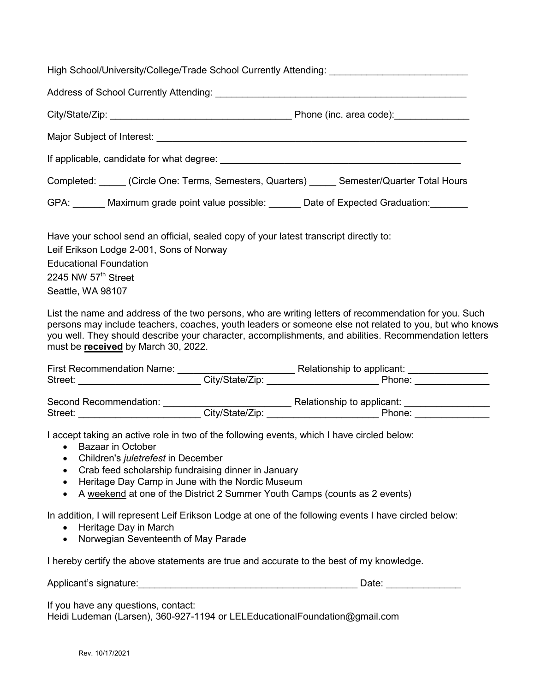High School/University/College/Trade School Currently Attending:

|                                                                                            | Phone (inc. area code): _________________ |
|--------------------------------------------------------------------------------------------|-------------------------------------------|
|                                                                                            |                                           |
|                                                                                            |                                           |
| Completed: Circle One: Terms, Semesters, Quarters) ______ Semester/Quarter Total Hours     |                                           |
| GPA: Maximum grade point value possible: Date of Expected Graduation:                      |                                           |
| $\Box$ gua vaur saboal sand an afficial saalad sany of vaur latest transarint directly to: |                                           |

Have your school send an official, sealed copy of your latest transcript directly to: Leif Erikson Lodge 2-001, Sons of Norway Educational Foundation 2245 NW  $57<sup>th</sup>$  Street Seattle, WA 98107

List the name and address of the two persons, who are writing letters of recommendation for you. Such persons may include teachers, coaches, youth leaders or someone else not related to you, but who knows you well. They should describe your character, accomplishments, and abilities. Recommendation letters must be **received** by March 30, 2022.

| <b>First Recommendation Name:</b> |                            | Relationship to applicant: |  |  |
|-----------------------------------|----------------------------|----------------------------|--|--|
| Street:                           | City/State/Zip:            | Phone:                     |  |  |
| Second Recommendation:            | Relationship to applicant: |                            |  |  |
| Street:                           | City/State/Zip:            | Phone:                     |  |  |

I accept taking an active role in two of the following events, which I have circled below:

- Bazaar in October
- Children's *juletrefest* in December
- Crab feed scholarship fundraising dinner in January
- Heritage Day Camp in June with the Nordic Museum
- A weekend at one of the District 2 Summer Youth Camps (counts as 2 events)

In addition, I will represent Leif Erikson Lodge at one of the following events I have circled below:

- Heritage Day in March
- Norwegian Seventeenth of May Parade

I hereby certify the above statements are true and accurate to the best of my knowledge.

Applicant's signature:\_\_\_\_\_\_\_\_\_\_\_\_\_\_\_\_\_\_\_\_\_\_\_\_\_\_\_\_\_\_\_\_\_\_\_\_\_\_\_\_\_ Date: \_\_\_\_\_\_\_\_\_\_\_\_\_\_

If you have any questions, contact:

Heidi Ludeman (Larsen), 360-927-1194 or LELEducationalFoundation@gmail.com